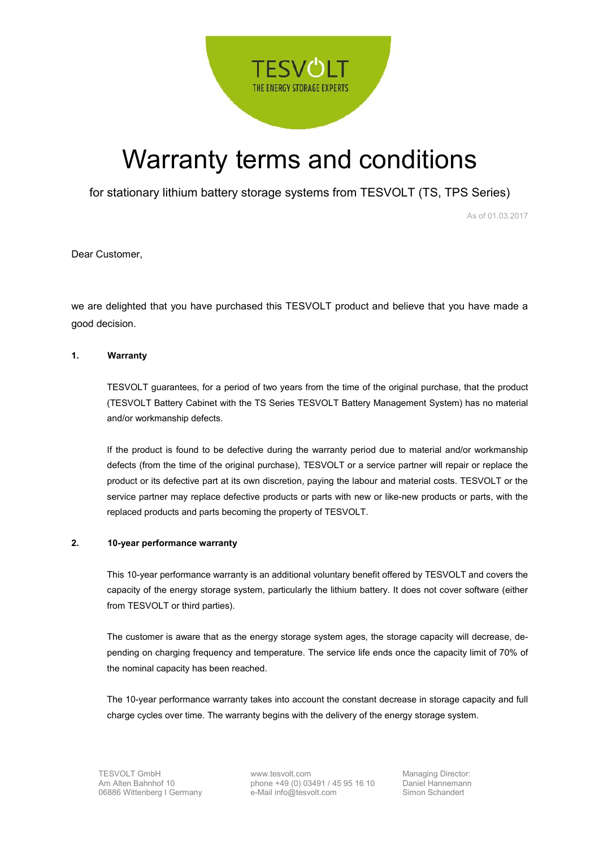

# Warranty terms and conditions

for stationary lithium battery storage systems from TESVOLT (TS, TPS Series)

As of 01.03.2017

Dear Customer,

we are delighted that you have purchased this TESVOLT product and believe that you have made a good decision.

#### **1. Warranty**

TESVOLT guarantees, for a period of two years from the time of the original purchase, that the product (TESVOLT Battery Cabinet with the TS Series TESVOLT Battery Management System) has no material and/or workmanship defects.

If the product is found to be defective during the warranty period due to material and/or workmanship defects (from the time of the original purchase), TESVOLT or a service partner will repair or replace the product or its defective part at its own discretion, paying the labour and material costs. TESVOLT or the service partner may replace defective products or parts with new or like-new products or parts, with the replaced products and parts becoming the property of TESVOLT.

## **2. 10-year performance warranty**

This 10-year performance warranty is an additional voluntary benefit offered by TESVOLT and covers the capacity of the energy storage system, particularly the lithium battery. It does not cover software (either from TESVOLT or third parties).

The customer is aware that as the energy storage system ages, the storage capacity will decrease, depending on charging frequency and temperature. The service life ends once the capacity limit of 70% of the nominal capacity has been reached.

The 10-year performance warranty takes into account the constant decrease in storage capacity and full charge cycles over time. The warranty begins with the delivery of the energy storage system.

www.tesvolt.com phone +49 (0) 03491 / 45 95 16 10 e-Mail info@tesvolt.com

Managing Director: Daniel Hannemann Simon Schandert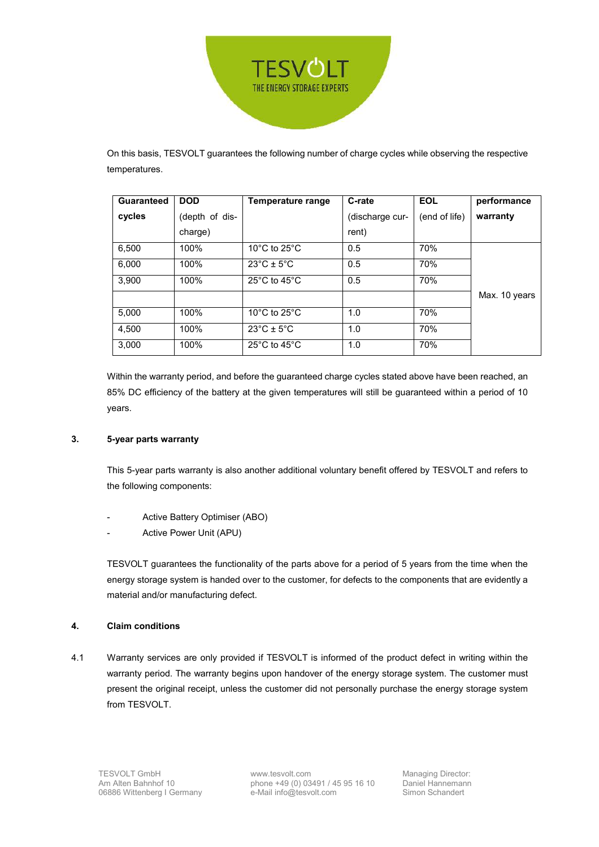

On this basis, TESVOLT guarantees the following number of charge cycles while observing the respective temperatures.

| <b>Guaranteed</b> | <b>DOD</b>     | Temperature range                                  | C-rate          | <b>EOL</b>    | performance   |
|-------------------|----------------|----------------------------------------------------|-----------------|---------------|---------------|
| cycles            | (depth of dis- |                                                    | (discharge cur- | (end of life) | warranty      |
|                   | charge)        |                                                    | rent)           |               |               |
| 6,500             | 100%           | 10 $\degree$ C to 25 $\degree$ C                   | 0.5             | 70%           |               |
| 6,000             | 100%           | $23^{\circ}$ C ± 5 $^{\circ}$ C                    | 0.5             | 70%           |               |
| 3,900             | 100%           | 25 $\mathrm{^{\circ}C}$ to 45 $\mathrm{^{\circ}C}$ | 0.5             | 70%           |               |
|                   |                |                                                    |                 |               | Max. 10 years |
| 5.000             | 100%           | 10 $\degree$ C to 25 $\degree$ C                   | 1.0             | 70%           |               |
| 4.500             | 100%           | $23^{\circ}$ C ± 5 $^{\circ}$ C                    | 1.0             | 70%           |               |
| 3,000             | 100%           | $25^{\circ}$ C to 45 $^{\circ}$ C                  | 1.0             | 70%           |               |

Within the warranty period, and before the guaranteed charge cycles stated above have been reached, an 85% DC efficiency of the battery at the given temperatures will still be guaranteed within a period of 10 years.

## **3. 5-year parts warranty**

This 5-year parts warranty is also another additional voluntary benefit offered by TESVOLT and refers to the following components:

- Active Battery Optimiser (ABO)
- Active Power Unit (APU)

TESVOLT guarantees the functionality of the parts above for a period of 5 years from the time when the energy storage system is handed over to the customer, for defects to the components that are evidently a material and/or manufacturing defect.

## **4. Claim conditions**

4.1 Warranty services are only provided if TESVOLT is informed of the product defect in writing within the warranty period. The warranty begins upon handover of the energy storage system. The customer must present the original receipt, unless the customer did not personally purchase the energy storage system from TESVOLT.

www.tesvolt.com phone +49 (0) 03491 / 45 95 16 10 e-Mail info@tesvolt.com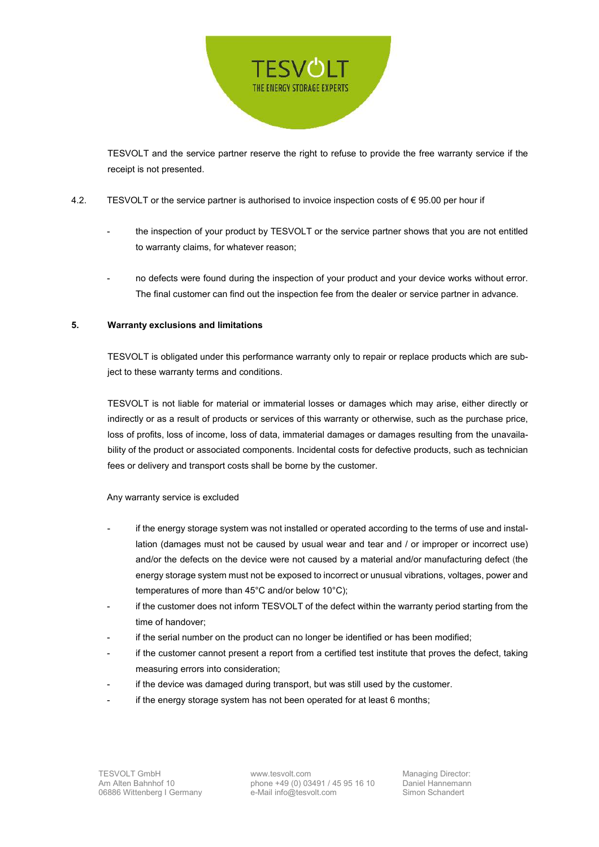

TESVOLT and the service partner reserve the right to refuse to provide the free warranty service if the receipt is not presented.

## 4.2. TESVOLT or the service partner is authorised to invoice inspection costs of € 95.00 per hour if

- the inspection of your product by TESVOLT or the service partner shows that you are not entitled to warranty claims, for whatever reason;
- no defects were found during the inspection of your product and your device works without error. The final customer can find out the inspection fee from the dealer or service partner in advance.

#### **5. Warranty exclusions and limitations**

TESVOLT is obligated under this performance warranty only to repair or replace products which are subject to these warranty terms and conditions.

TESVOLT is not liable for material or immaterial losses or damages which may arise, either directly or indirectly or as a result of products or services of this warranty or otherwise, such as the purchase price, loss of profits, loss of income, loss of data, immaterial damages or damages resulting from the unavailability of the product or associated components. Incidental costs for defective products, such as technician fees or delivery and transport costs shall be borne by the customer.

#### Any warranty service is excluded

- if the energy storage system was not installed or operated according to the terms of use and installation (damages must not be caused by usual wear and tear and / or improper or incorrect use) and/or the defects on the device were not caused by a material and/or manufacturing defect (the energy storage system must not be exposed to incorrect or unusual vibrations, voltages, power and temperatures of more than 45°C and/or below 10°C);
- if the customer does not inform TESVOLT of the defect within the warranty period starting from the time of handover;
- if the serial number on the product can no longer be identified or has been modified;
- if the customer cannot present a report from a certified test institute that proves the defect, taking measuring errors into consideration;
- if the device was damaged during transport, but was still used by the customer.
- if the energy storage system has not been operated for at least 6 months;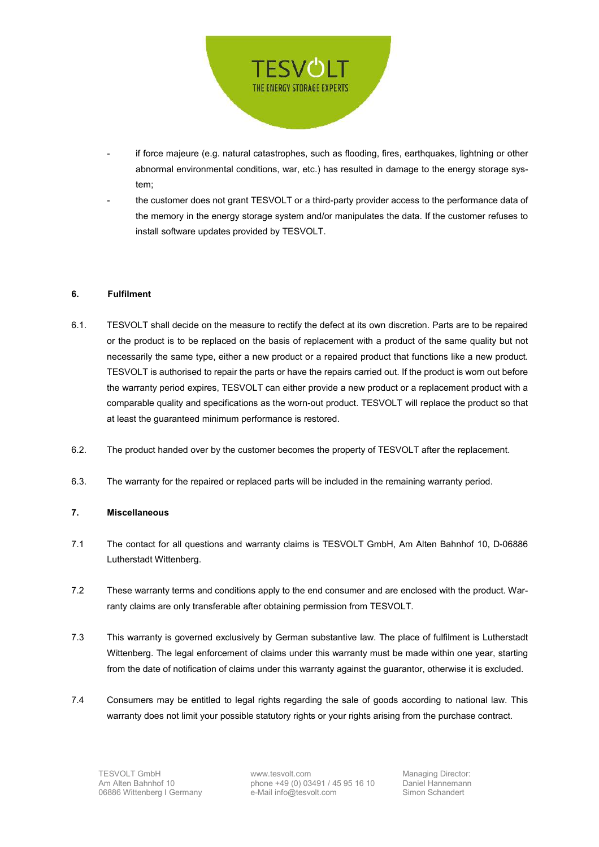

- if force majeure (e.g. natural catastrophes, such as flooding, fires, earthquakes, lightning or other abnormal environmental conditions, war, etc.) has resulted in damage to the energy storage system;
- the customer does not grant TESVOLT or a third-party provider access to the performance data of the memory in the energy storage system and/or manipulates the data. If the customer refuses to install software updates provided by TESVOLT.

#### **6. Fulfilment**

- 6.1. TESVOLT shall decide on the measure to rectify the defect at its own discretion. Parts are to be repaired or the product is to be replaced on the basis of replacement with a product of the same quality but not necessarily the same type, either a new product or a repaired product that functions like a new product. TESVOLT is authorised to repair the parts or have the repairs carried out. If the product is worn out before the warranty period expires, TESVOLT can either provide a new product or a replacement product with a comparable quality and specifications as the worn-out product. TESVOLT will replace the product so that at least the guaranteed minimum performance is restored.
- 6.2. The product handed over by the customer becomes the property of TESVOLT after the replacement.
- 6.3. The warranty for the repaired or replaced parts will be included in the remaining warranty period.

# **7. Miscellaneous**

- 7.1 The contact for all questions and warranty claims is TESVOLT GmbH, Am Alten Bahnhof 10, D-06886 Lutherstadt Wittenberg.
- 7.2 These warranty terms and conditions apply to the end consumer and are enclosed with the product. Warranty claims are only transferable after obtaining permission from TESVOLT.
- 7.3 This warranty is governed exclusively by German substantive law. The place of fulfilment is Lutherstadt Wittenberg. The legal enforcement of claims under this warranty must be made within one year, starting from the date of notification of claims under this warranty against the guarantor, otherwise it is excluded.
- 7.4 Consumers may be entitled to legal rights regarding the sale of goods according to national law. This warranty does not limit your possible statutory rights or your rights arising from the purchase contract.